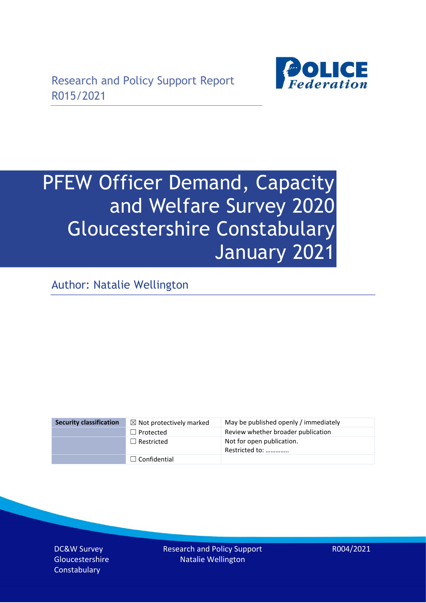

# PFEW Officer Demand, Capacity and Welfare Survey 2020 Gloucestershire Constabulary January 2021

Author: Natalie Wellington

| <b>Security classification</b> | $\boxtimes$ Not protectively marked | May be published openly / immediately       |
|--------------------------------|-------------------------------------|---------------------------------------------|
|                                | $\Box$ Protected                    | Review whether broader publication          |
|                                | $\Box$ Restricted                   | Not for open publication.<br>Restricted to: |
|                                | $\Box$ Confidential                 |                                             |

DC&W Survey Gloucestershire **Constabulary** 

Research and Policy Support Natalie Wellington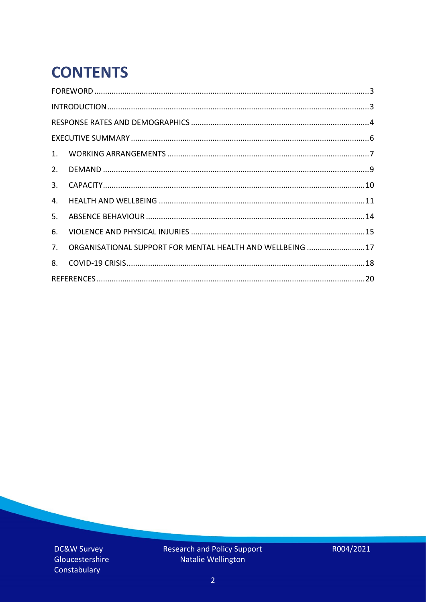# **CONTENTS**

| ORGANISATIONAL SUPPORT FOR MENTAL HEALTH AND WELLBEING  17 |
|------------------------------------------------------------|
|                                                            |
|                                                            |
|                                                            |

DC&W Survey Gloucestershire Constabulary

Research and Policy Support<br>Natalie Wellington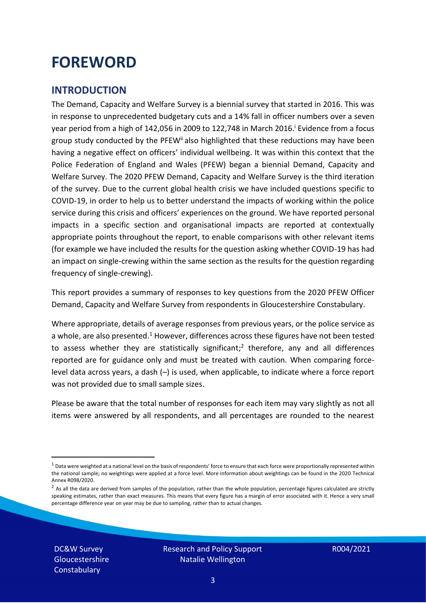### <span id="page-2-0"></span>**FOREWORD**

#### <span id="page-2-1"></span>**INTRODUCTION**

The Demand, Capacity and Welfare Survey is a biennial survey that started in 2016. This was in response to unprecedented budgetary cuts and a 14% fall in officer numbers over a seven year period from a high of 142,056 in 2009 to 122,748 in March 2016. <sup>i</sup> Evidence from a focus group study conducted by the PFEW<sup>ii</sup> also highlighted that these reductions may have been having a negative effect on officers' individual wellbeing. It was within this context that the Police Federation of England and Wales (PFEW) began a biennial Demand, Capacity and Welfare Survey. The 2020 PFEW Demand, Capacity and Welfare Survey is the third iteration of the survey. Due to the current global health crisis we have included questions specific to COVID-19, in order to help us to better understand the impacts of working within the police service during this crisis and officers' experiences on the ground. We have reported personal impacts in a specific section and organisational impacts are reported at contextually appropriate points throughout the report, to enable comparisons with other relevant items (for example we have included the results for the question asking whether COVID-19 has had an impact on single-crewing within the same section as the results for the question regarding frequency of single-crewing).

This report provides a summary of responses to key questions from the 2020 PFEW Officer Demand, Capacity and Welfare Survey from respondents in Gloucestershire Constabulary.

Where appropriate, details of average responses from previous years, or the police service as a whole, are also presented.<sup>1</sup> However, differences across these figures have not been tested to assess whether they are statistically significant;<sup>2</sup> therefore, any and all differences reported are for guidance only and must be treated with caution. When comparing forcelevel data across years, a dash (–) is used, when applicable, to indicate where a force report was not provided due to small sample sizes.

Please be aware that the total number of responses for each item may vary slightly as not all items were answered by all respondents, and all percentages are rounded to the nearest

DC&W Survey Gloucestershire **Constabulary** 

 $1$  Data were weighted at a national level on the basis of respondents' force to ensure that each force were proportionally represented within the national sample; no weightings were applied at a force level. More information about weightings can be found in the 2020 Technical Annex R098/2020.

 $2$  As all the data are derived from samples of the population, rather than the whole population, percentage figures calculated are strictly speaking estimates, rather than exact measures. This means that every figure has a margin of error associated with it. Hence a very small percentage difference year on year may be due to sampling, rather than to actual changes.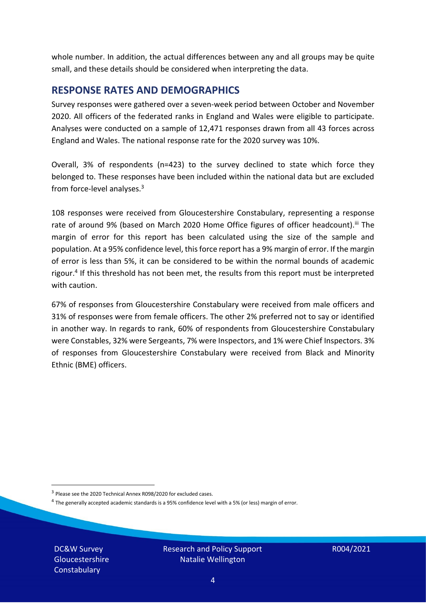whole number. In addition, the actual differences between any and all groups may be quite small, and these details should be considered when interpreting the data.

#### <span id="page-3-0"></span>**RESPONSE RATES AND DEMOGRAPHICS**

Survey responses were gathered over a seven-week period between October and November 2020. All officers of the federated ranks in England and Wales were eligible to participate. Analyses were conducted on a sample of 12,471 responses drawn from all 43 forces across England and Wales. The national response rate for the 2020 survey was 10%.

Overall, 3% of respondents (n=423) to the survey declined to state which force they belonged to. These responses have been included within the national data but are excluded from force-level analyses. $3$ 

108 responses were received from Gloucestershire Constabulary, representing a response rate of around 9% (based on March 2020 Home Office figures of officer headcount).<sup>iii</sup> The margin of error for this report has been calculated using the size of the sample and population. At a 95% confidence level, this force report has a 9% margin of error. If the margin of error is less than 5%, it can be considered to be within the normal bounds of academic rigour.<sup>4</sup> If this threshold has not been met, the results from this report must be interpreted with caution.

67% of responses from Gloucestershire Constabulary were received from male officers and 31% of responses were from female officers. The other 2% preferred not to say or identified in another way. In regards to rank, 60% of respondents from Gloucestershire Constabulary were Constables, 32% were Sergeants, 7% were Inspectors, and 1% were Chief Inspectors. 3% of responses from Gloucestershire Constabulary were received from Black and Minority Ethnic (BME) officers.

<sup>4</sup> The generally accepted academic standards is a 95% confidence level with a 5% (or less) margin of error.

DC&W Survey Gloucestershire **Constabulary** 

<sup>&</sup>lt;sup>3</sup> Please see the 2020 Technical Annex R098/2020 for excluded cases.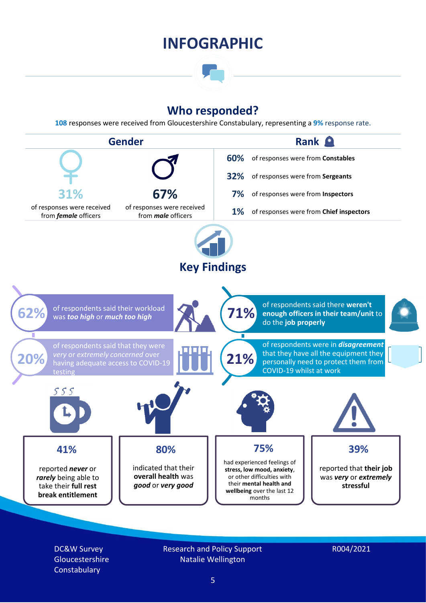### **INFOGRAPHIC**

### **Who responded?**

**108** responses were received from Gloucestershire Constabulary, representing a **9%** response rate.



DC&W Survey Gloucestershire **Constabulary** 

Research and Policy Support Natalie Wellington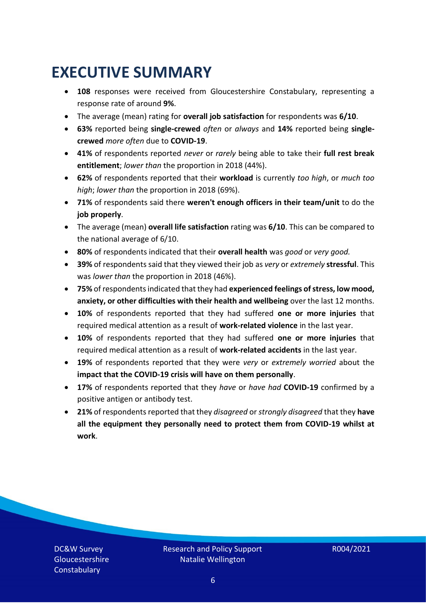### <span id="page-5-0"></span>**EXECUTIVE SUMMARY**

- **108** responses were received from Gloucestershire Constabulary, representing a response rate of around **9%**.
- The average (mean) rating for **overall job satisfaction** for respondents was **6/10**.
- **63%** reported being **single-crewed** *often* or *always* and **14%** reported being **singlecrewed** *more often* due to **COVID-19**.
- **41%** of respondents reported *never* or *rarely* being able to take their **full rest break entitlement**; *lower than* the proportion in 2018 (44%).
- **62%** of respondents reported that their **workload** is currently *too high*, or *much too high*; *lower than* the proportion in 2018 (69%).
- **71%** of respondents said there **weren't enough officers in their team/unit** to do the **job properly**.
- The average (mean) **overall life satisfaction** rating was **6/10**. This can be compared to the national average of 6/10.
- **80%** of respondents indicated that their **overall health** was *good* or *very good.*
- **39%** of respondents said that they viewed their job as *very* or *extremely* **stressful**. This was *lower than* the proportion in 2018 (46%).
- **75%** of respondents indicated that they had **experienced feelings of stress, low mood, anxiety, or other difficulties with their health and wellbeing** over the last 12 months.
- **10%** of respondents reported that they had suffered **one or more injuries** that required medical attention as a result of **work-related violence** in the last year.
- **10%** of respondents reported that they had suffered **one or more injuries** that required medical attention as a result of **work-related accidents** in the last year.
- **19%** of respondents reported that they were *very* or *extremely worried* about the **impact that the COVID-19 crisis will have on them personally**.
- **17%** of respondents reported that they *have* or *have had* **COVID-19** confirmed by a positive antigen or antibody test.
- **21%** of respondents reported that they *disagreed* or *strongly disagreed* that they **have all the equipment they personally need to protect them from COVID-19 whilst at work**.

DC&W Survey Gloucestershire **Constabulary**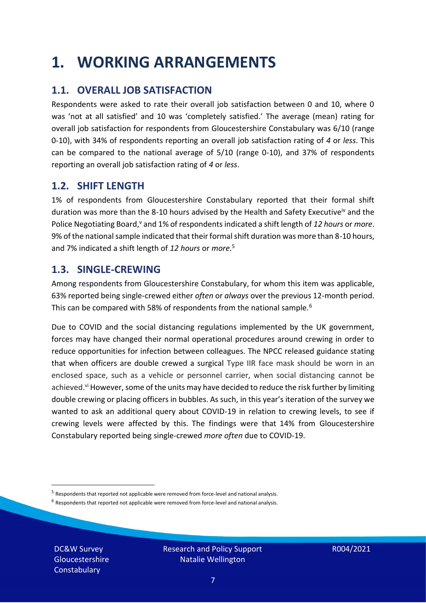### <span id="page-6-0"></span>**1. WORKING ARRANGEMENTS**

#### **1.1. OVERALL JOB SATISFACTION**

Respondents were asked to rate their overall job satisfaction between 0 and 10, where 0 was 'not at all satisfied' and 10 was 'completely satisfied.' The average (mean) rating for overall job satisfaction for respondents from Gloucestershire Constabulary was 6/10 (range 0-10), with 34% of respondents reporting an overall job satisfaction rating of *4* or *less*. This can be compared to the national average of 5/10 (range 0-10), and 37% of respondents reporting an overall job satisfaction rating of *4* or *less*.

#### **1.2. SHIFT LENGTH**

1% of respondents from Gloucestershire Constabulary reported that their formal shift duration was more than the 8-10 hours advised by the Health and Safety Executive<sup>iv</sup> and the Police Negotiating Board,<sup>v</sup> and 1% of respondents indicated a shift length of 12 hours or *more*. 9% of the national sample indicated that their formal shift duration was more than 8-10 hours, and 7% indicated a shift length of *12 hours* or *more*. 5

#### **1.3. SINGLE-CREWING**

Among respondents from Gloucestershire Constabulary, for whom this item was applicable, 63% reported being single-crewed either *often* or *always* over the previous 12-month period. This can be compared with 58% of respondents from the national sample.<sup>6</sup>

Due to COVID and the social distancing regulations implemented by the UK government, forces may have changed their normal operational procedures around crewing in order to reduce opportunities for infection between colleagues. The NPCC released guidance stating that when officers are double crewed a surgical Type IIR face mask should be worn in an enclosed space, such as a vehicle or personnel carrier, when social distancing cannot be achieved.<sup>vi</sup> However, some of the units may have decided to reduce the risk further by limiting double crewing or placing officers in bubbles. As such, in this year's iteration of the survey we wanted to ask an additional query about COVID-19 in relation to crewing levels, to see if crewing levels were affected by this. The findings were that 14% from Gloucestershire Constabulary reported being single-crewed *more often* due to COVID-19.

 $<sup>6</sup>$  Respondents that reported not applicable were removed from force-level and national analysis.</sup>

DC&W Survey Gloucestershire **Constabulary** 

<sup>&</sup>lt;sup>5</sup> Respondents that reported not applicable were removed from force-level and national analysis.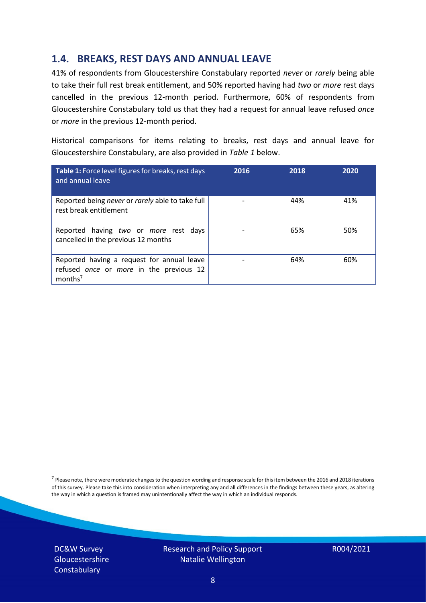#### **1.4. BREAKS, REST DAYS AND ANNUAL LEAVE**

41% of respondents from Gloucestershire Constabulary reported *never* or *rarely* being able to take their full rest break entitlement, and 50% reported having had *two* or *more* rest days cancelled in the previous 12-month period. Furthermore, 60% of respondents from Gloucestershire Constabulary told us that they had a request for annual leave refused *once* or *more* in the previous 12-month period.

Historical comparisons for items relating to breaks, rest days and annual leave for Gloucestershire Constabulary, are also provided in *Table 1* below.

| Table 1: Force level figures for breaks, rest days<br>and annual leave                                       | 2016 | 2018 | 2020 |
|--------------------------------------------------------------------------------------------------------------|------|------|------|
| Reported being never or rarely able to take full<br>rest break entitlement                                   |      | 44%  | 41%  |
| Reported having two or more rest days<br>cancelled in the previous 12 months                                 |      | 65%  | 50%  |
| Reported having a request for annual leave<br>refused once or more in the previous 12<br>months <sup>7</sup> |      | 64%  | 60%  |

DC&W Survey **Gloucestershire Constabulary** 



<sup>&</sup>lt;sup>7</sup> Please note, there were moderate changes to the question wording and response scale for this item between the 2016 and 2018 iterations of this survey. Please take this into consideration when interpreting any and all differences in the findings between these years, as altering the way in which a question is framed may unintentionally affect the way in which an individual responds.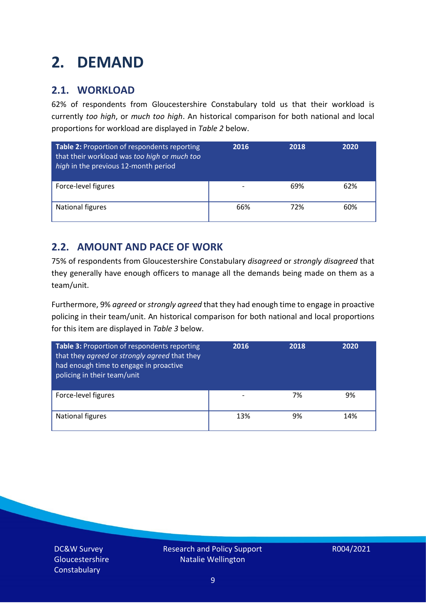### <span id="page-8-0"></span>**2. DEMAND**

#### **2.1. WORKLOAD**

62% of respondents from Gloucestershire Constabulary told us that their workload is currently *too high*, or *much too high*. An historical comparison for both national and local proportions for workload are displayed in *Table 2* below.

| Table 2: Proportion of respondents reporting<br>that their workload was too high or much too<br>high in the previous 12-month period | 2016 | 2018 | 2020 |
|--------------------------------------------------------------------------------------------------------------------------------------|------|------|------|
| Force-level figures                                                                                                                  |      | 69%  | 62%  |
| National figures                                                                                                                     | 66%  | 72%  | 60%  |

#### **2.2. AMOUNT AND PACE OF WORK**

75% of respondents from Gloucestershire Constabulary *disagreed* or *strongly disagreed* that they generally have enough officers to manage all the demands being made on them as a team/unit.

Furthermore, 9% *agreed* or *strongly agreed* that they had enough time to engage in proactive policing in their team/unit. An historical comparison for both national and local proportions for this item are displayed in *Table 3* below.

| <b>Table 3: Proportion of respondents reporting</b><br>that they agreed or strongly agreed that they<br>had enough time to engage in proactive<br>policing in their team/unit | 2016 | 2018 | 2020 |
|-------------------------------------------------------------------------------------------------------------------------------------------------------------------------------|------|------|------|
| Force-level figures                                                                                                                                                           |      | 7%   | 9%   |
| <b>National figures</b>                                                                                                                                                       | 13%  | 9%   | 14%  |

DC&W Survey **Gloucestershire Constabulary**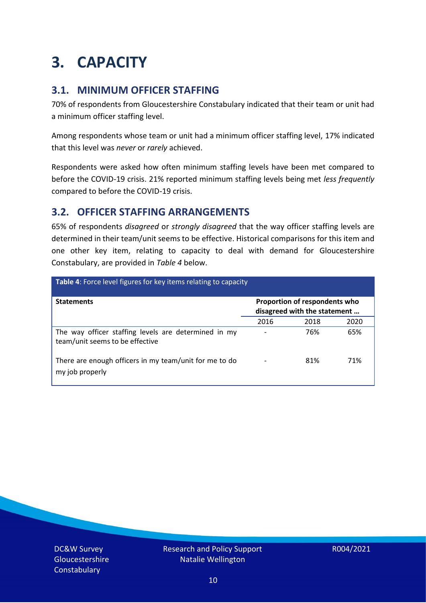### <span id="page-9-0"></span>**3. CAPACITY**

#### **3.1. MINIMUM OFFICER STAFFING**

70% of respondents from Gloucestershire Constabulary indicated that their team or unit had a minimum officer staffing level.

Among respondents whose team or unit had a minimum officer staffing level, 17% indicated that this level was *never* or *rarely* achieved.

Respondents were asked how often minimum staffing levels have been met compared to before the COVID-19 crisis. 21% reported minimum staffing levels being met *less frequently* compared to before the COVID-19 crisis.

#### **3.2. OFFICER STAFFING ARRANGEMENTS**

65% of respondents *disagreed* or *strongly disagreed* that the way officer staffing levels are determined in their team/unit seems to be effective. Historical comparisons for this item and one other key item, relating to capacity to deal with demand for Gloucestershire Constabulary, are provided in *Table 4* below.

| <b>Table 4:</b> Force level figures for key items relating to capacity                  |                                                               |      |      |  |
|-----------------------------------------------------------------------------------------|---------------------------------------------------------------|------|------|--|
| <b>Statements</b>                                                                       | Proportion of respondents who<br>disagreed with the statement |      |      |  |
|                                                                                         | 2016                                                          | 2018 | 2020 |  |
| The way officer staffing levels are determined in my<br>team/unit seems to be effective |                                                               | 76%  | 65%  |  |
| There are enough officers in my team/unit for me to do<br>my job properly               | $\qquad \qquad \blacksquare$                                  | 81%  | 71%  |  |

DC&W Survey Gloucestershire **Constabulary** 

Research and Policy Support Natalie Wellington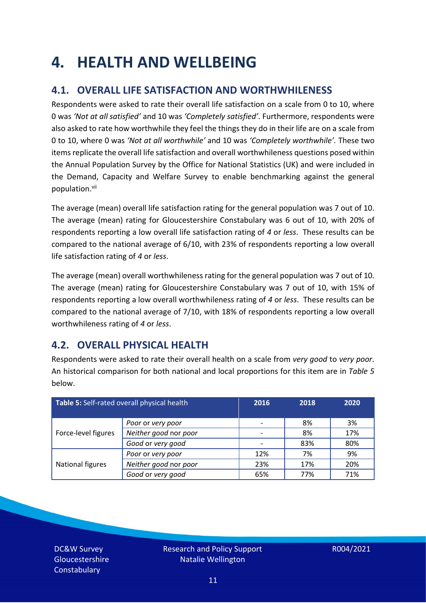### <span id="page-10-0"></span>**4. HEALTH AND WELLBEING**

#### **4.1. OVERALL LIFE SATISFACTION AND WORTHWHILENESS**

Respondents were asked to rate their overall life satisfaction on a scale from 0 to 10, where 0 was *'Not at all satisfied'* and 10 was *'Completely satisfied'*. Furthermore, respondents were also asked to rate how worthwhile they feel the things they do in their life are on a scale from 0 to 10, where 0 was *'Not at all worthwhile'* and 10 was *'Completely worthwhile'.* These two items replicate the overall life satisfaction and overall worthwhileness questions posed within the Annual Population Survey by the Office for National Statistics (UK) and were included in the Demand, Capacity and Welfare Survey to enable benchmarking against the general population. vii

The average (mean) overall life satisfaction rating for the general population was 7 out of 10. The average (mean) rating for Gloucestershire Constabulary was 6 out of 10, with 20% of respondents reporting a low overall life satisfaction rating of *4* or *less*. These results can be compared to the national average of 6/10, with 23% of respondents reporting a low overall life satisfaction rating of *4* or *less*.

The average (mean) overall worthwhileness rating for the general population was 7 out of 10. The average (mean) rating for Gloucestershire Constabulary was 7 out of 10, with 15% of respondents reporting a low overall worthwhileness rating of *4* or *less*. These results can be compared to the national average of 7/10, with 18% of respondents reporting a low overall worthwhileness rating of *4* or *less*.

#### **4.2. OVERALL PHYSICAL HEALTH**

Respondents were asked to rate their overall health on a scale from *very good* to *very poor*. An historical comparison for both national and local proportions for this item are in *Table 5* below.

| Table 5: Self-rated overall physical health |                       | 2016 | 2018 | 2020 |
|---------------------------------------------|-----------------------|------|------|------|
|                                             | Poor or very poor     |      | 8%   | 3%   |
| Force-level figures                         | Neither good nor poor |      | 8%   | 17%  |
|                                             | Good or very good     |      | 83%  | 80%  |
|                                             | Poor or very poor     | 12%  | 7%   | 9%   |
| National figures                            | Neither good nor poor | 23%  | 17%  | 20%  |
|                                             | Good or very good     | 65%  | 77%  | 71%  |

DC&W Survey Gloucestershire **Constabulary**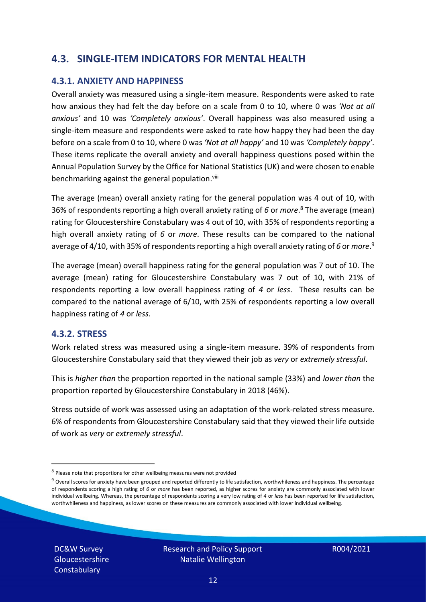#### **4.3. SINGLE-ITEM INDICATORS FOR MENTAL HEALTH**

#### **4.3.1. ANXIETY AND HAPPINESS**

Overall anxiety was measured using a single-item measure. Respondents were asked to rate how anxious they had felt the day before on a scale from 0 to 10, where 0 was *'Not at all anxious'* and 10 was *'Completely anxious'*. Overall happiness was also measured using a single-item measure and respondents were asked to rate how happy they had been the day before on a scale from 0 to 10, where 0 was *'Not at all happy'* and 10 was *'Completely happy'*. These items replicate the overall anxiety and overall happiness questions posed within the Annual Population Survey by the Office for National Statistics (UK) and were chosen to enable benchmarking against the general population.<sup>viii</sup>

The average (mean) overall anxiety rating for the general population was 4 out of 10, with 36% of respondents reporting a high overall anxiety rating of *6* or *more*. <sup>8</sup> The average (mean) rating for Gloucestershire Constabulary was 4 out of 10, with 35% of respondents reporting a high overall anxiety rating of *6* or *more*. These results can be compared to the national average of 4/10, with 35% of respondents reporting a high overall anxiety rating of 6 or *more*.<sup>9</sup>

The average (mean) overall happiness rating for the general population was 7 out of 10. The average (mean) rating for Gloucestershire Constabulary was 7 out of 10, with 21% of respondents reporting a low overall happiness rating of *4* or *less*. These results can be compared to the national average of 6/10, with 25% of respondents reporting a low overall happiness rating of *4* or *less*.

#### **4.3.2. STRESS**

Work related stress was measured using a single-item measure. 39% of respondents from Gloucestershire Constabulary said that they viewed their job as *very* or *extremely stressful*.

This is *higher than* the proportion reported in the national sample (33%) and *lower than* the proportion reported by Gloucestershire Constabulary in 2018 (46%).

Stress outside of work was assessed using an adaptation of the work-related stress measure. 6% of respondents from Gloucestershire Constabulary said that they viewed their life outside of work as *very* or *extremely stressful*.

DC&W Survey Gloucestershire **Constabulary** 

<sup>&</sup>lt;sup>8</sup> Please note that proportions for other wellbeing measures were not provided

 $9$  Overall scores for anxiety have been grouped and reported differently to life satisfaction, worthwhileness and happiness. The percentage of respondents scoring a high rating of *6* or *more* has been reported, as higher scores for anxiety are commonly associated with lower individual wellbeing. Whereas, the percentage of respondents scoring a very low rating of *4* or *less* has been reported for life satisfaction, worthwhileness and happiness, as lower scores on these measures are commonly associated with lower individual wellbeing.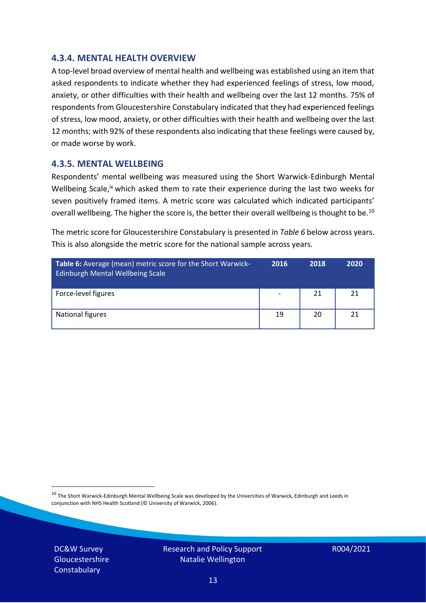#### **4.3.4. MENTAL HEALTH OVERVIEW**

A top-level broad overview of mental health and wellbeing was established using an item that asked respondents to indicate whether they had experienced feelings of stress, low mood, anxiety, or other difficulties with their health and wellbeing over the last 12 months. 75% of respondents from Gloucestershire Constabulary indicated that they had experienced feelings of stress, low mood, anxiety, or other difficulties with their health and wellbeing over the last 12 months; with 92% of these respondents also indicating that these feelings were caused by, or made worse by work.

#### **4.3.5. MENTAL WELLBEING**

Respondents' mental wellbeing was measured using the Short Warwick-Edinburgh Mental Wellbeing Scale,<sup>ix</sup> which asked them to rate their experience during the last two weeks for seven positively framed items. A metric score was calculated which indicated participants' overall wellbeing. The higher the score is, the better their overall wellbeing is thought to be.<sup>10</sup>

The metric score for Gloucestershire Constabulary is presented in *Table 6* below across years. This is also alongside the metric score for the national sample across years.

| <b>Table 6:</b> Average (mean) metric score for the Short Warwick-<br><b>Edinburgh Mental Wellbeing Scale</b> | 2016 | 2018 | 2020 |
|---------------------------------------------------------------------------------------------------------------|------|------|------|
| Force-level figures                                                                                           |      | 21   | 21   |
| National figures                                                                                              | 19   | 20   | 21   |

 $10$  The Short Warwick-Edinburgh Mental Wellbeing Scale was developed by the Universities of Warwick, Edinburgh and Leeds in conjunction with NHS Health Scotland (© University of Warwick, 2006).

DC&W Survey **Gloucestershire Constabulary** 

Research and Policy Support Natalie Wellington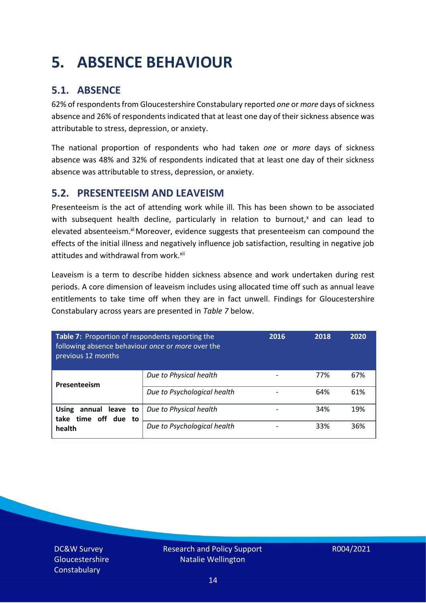## <span id="page-13-0"></span>**5. ABSENCE BEHAVIOUR**

#### **5.1. ABSENCE**

62% of respondents from Gloucestershire Constabulary reported *one* or *more* days of sickness absence and 26% of respondents indicated that at least one day of their sickness absence was attributable to stress, depression, or anxiety.

The national proportion of respondents who had taken *one* or *more* days of sickness absence was 48% and 32% of respondents indicated that at least one day of their sickness absence was attributable to stress, depression, or anxiety.

#### **5.2. PRESENTEEISM AND LEAVEISM**

Presenteeism is the act of attending work while ill. This has been shown to be associated with subsequent health decline, particularly in relation to burnout, $x$  and can lead to elevated absenteeism.<sup>xi</sup> Moreover, evidence suggests that presenteeism can compound the effects of the initial illness and negatively influence job satisfaction, resulting in negative job attitudes and withdrawal from work.<sup>xii</sup>

Leaveism is a term to describe hidden sickness absence and work undertaken during rest periods. A core dimension of leaveism includes using allocated time off such as annual leave entitlements to take time off when they are in fact unwell. Findings for Gloucestershire Constabulary across years are presented in *Table 7* below.

| Table 7: Proportion of respondents reporting the<br>following absence behaviour once or more over the<br>previous 12 months |                             | 2016 | 2018 | 2020 |
|-----------------------------------------------------------------------------------------------------------------------------|-----------------------------|------|------|------|
| Presenteeism                                                                                                                | Due to Physical health      |      | 77%  | 67%  |
|                                                                                                                             | Due to Psychological health |      | 64%  | 61%  |
| annual leave to<br><b>Using</b><br>time off due to<br>take                                                                  | Due to Physical health      |      | 34%  | 19%  |
| health                                                                                                                      | Due to Psychological health |      | 33%  | 36%  |

DC&W Survey Gloucestershire **Constabulary**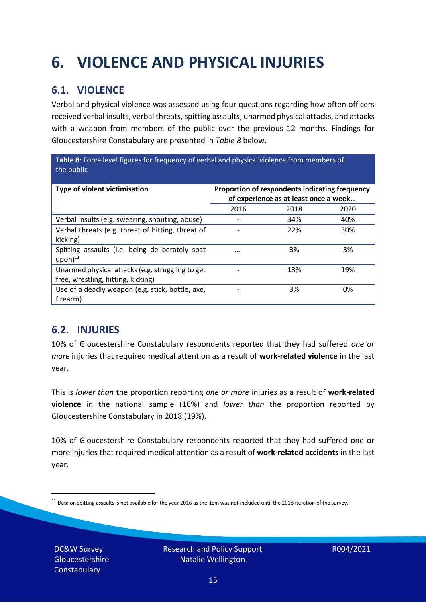## <span id="page-14-0"></span>**6. VIOLENCE AND PHYSICAL INJURIES**

#### **6.1. VIOLENCE**

Verbal and physical violence was assessed using four questions regarding how often officers received verbal insults, verbal threats, spitting assaults, unarmed physical attacks, and attacks with a weapon from members of the public over the previous 12 months. Findings for Gloucestershire Constabulary are presented in *Table 8* below.

**Table 8**: Force level figures for frequency of verbal and physical violence from members of the public

| Type of violent victimisation                                                          | Proportion of respondents indicating frequency<br>of experience as at least once a week |      |      |
|----------------------------------------------------------------------------------------|-----------------------------------------------------------------------------------------|------|------|
|                                                                                        | 2016                                                                                    | 2018 | 2020 |
| Verbal insults (e.g. swearing, shouting, abuse)                                        |                                                                                         | 34%  | 40%  |
| Verbal threats (e.g. threat of hitting, threat of<br>kicking)                          |                                                                                         | 22%  | 30%  |
| Spitting assaults (i.e. being deliberately spat<br>$upon)$ <sup>11</sup>               |                                                                                         | 3%   | 3%   |
| Unarmed physical attacks (e.g. struggling to get<br>free, wrestling, hitting, kicking) |                                                                                         | 13%  | 19%  |
| Use of a deadly weapon (e.g. stick, bottle, axe,<br>firearm)                           |                                                                                         | 3%   | 0%   |

#### **6.2. INJURIES**

10% of Gloucestershire Constabulary respondents reported that they had suffered *one or more* injuries that required medical attention as a result of **work-related violence** in the last year.

This is *lower than* the proportion reporting *one or more* injuries as a result of **work-related violence** in the national sample (16%) and *lower than* the proportion reported by Gloucestershire Constabulary in 2018 (19%).

10% of Gloucestershire Constabulary respondents reported that they had suffered one or more injuries that required medical attention as a result of **work-related accidents** in the last year.

DC&W Survey Gloucestershire **Constabulary** 



 $11$  Data on spitting assaults is not available for the year 2016 as the item was not included until the 2018 iteration of the survey.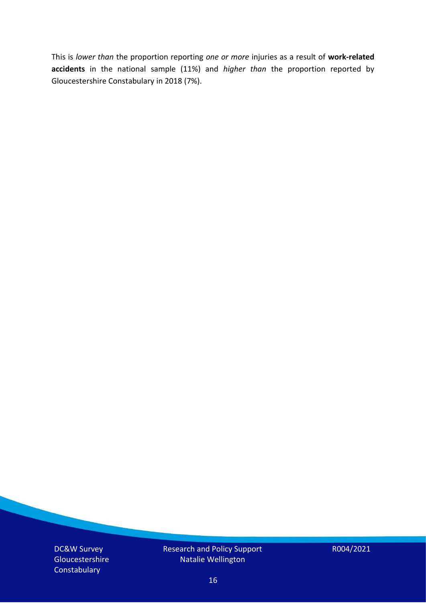This is *lower than* the proportion reporting *one or more* injuries as a result of **work-related accidents** in the national sample (11%) and *higher than* the proportion reported by Gloucestershire Constabulary in 2018 (7%).

DC&W Survey Gloucestershire **Constabulary** 

Research and Policy Support Natalie Wellington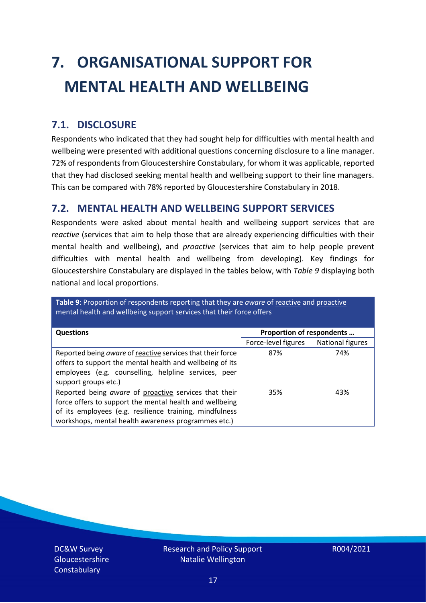# <span id="page-16-0"></span>**7. ORGANISATIONAL SUPPORT FOR MENTAL HEALTH AND WELLBEING**

#### **7.1. DISCLOSURE**

Respondents who indicated that they had sought help for difficulties with mental health and wellbeing were presented with additional questions concerning disclosure to a line manager. 72% of respondents from Gloucestershire Constabulary, for whom it was applicable, reported that they had disclosed seeking mental health and wellbeing support to their line managers. This can be compared with 78% reported by Gloucestershire Constabulary in 2018.

#### **7.2. MENTAL HEALTH AND WELLBEING SUPPORT SERVICES**

Respondents were asked about mental health and wellbeing support services that are *reactive* (services that aim to help those that are already experiencing difficulties with their mental health and wellbeing), and *proactive* (services that aim to help people prevent difficulties with mental health and wellbeing from developing). Key findings for Gloucestershire Constabulary are displayed in the tables below, with *Table 9* displaying both national and local proportions.

**Table 9**: Proportion of respondents reporting that they are *aware* of reactive and proactive mental health and wellbeing support services that their force offers

| <b>Questions</b>                                                                                                                                                                                                                   | Proportion of respondents               |     |
|------------------------------------------------------------------------------------------------------------------------------------------------------------------------------------------------------------------------------------|-----------------------------------------|-----|
|                                                                                                                                                                                                                                    | National figures<br>Force-level figures |     |
| Reported being aware of reactive services that their force<br>offers to support the mental health and wellbeing of its<br>employees (e.g. counselling, helpline services, peer<br>support groups etc.)                             | 87%                                     | 74% |
| Reported being aware of proactive services that their<br>force offers to support the mental health and wellbeing<br>of its employees (e.g. resilience training, mindfulness<br>workshops, mental health awareness programmes etc.) | 35%                                     | 43% |

DC&W Survey Gloucestershire **Constabulary** 

Research and Policy Support Natalie Wellington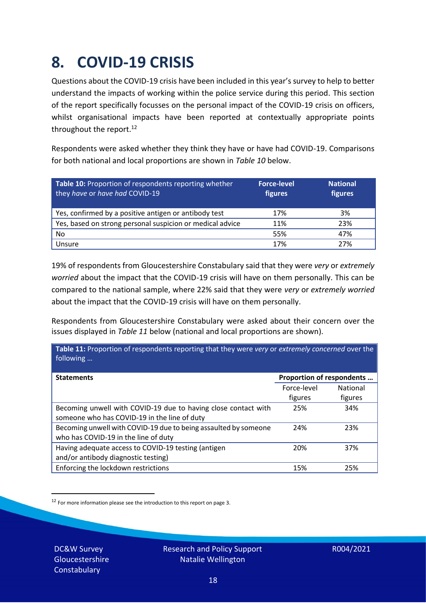### <span id="page-17-0"></span>**8. COVID-19 CRISIS**

Questions about the COVID-19 crisis have been included in this year's survey to help to better understand the impacts of working within the police service during this period. This section of the report specifically focusses on the personal impact of the COVID-19 crisis on officers, whilst organisational impacts have been reported at contextually appropriate points throughout the report.<sup>12</sup>

Respondents were asked whether they think they have or have had COVID-19. Comparisons for both national and local proportions are shown in *Table 10* below.

| Table 10: Proportion of respondents reporting whether<br>they have or have had COVID-19 | <b>Force-level</b><br>figures | <b>National</b><br>figures |
|-----------------------------------------------------------------------------------------|-------------------------------|----------------------------|
| Yes, confirmed by a positive antigen or antibody test                                   | 17%                           | 3%                         |
| Yes, based on strong personal suspicion or medical advice                               | 11%                           | 23%                        |
| No                                                                                      | 55%                           | 47%                        |
| Unsure                                                                                  | 17%                           | 27%                        |

19% of respondents from Gloucestershire Constabulary said that they were *very* or *extremely worried* about the impact that the COVID-19 crisis will have on them personally. This can be compared to the national sample, where 22% said that they were *very* or *extremely worried* about the impact that the COVID-19 crisis will have on them personally.

Respondents from Gloucestershire Constabulary were asked about their concern over the issues displayed in *Table 11* below (national and local proportions are shown).

| Table 11: Proportion of respondents reporting that they were very or extremely concerned over the |                 |
|---------------------------------------------------------------------------------------------------|-----------------|
| Proportion of respondents                                                                         |                 |
| Force-level                                                                                       | <b>National</b> |
| figures                                                                                           | figures         |
| 25%                                                                                               | 34%             |
|                                                                                                   |                 |
| 24%                                                                                               | 23%             |
|                                                                                                   |                 |
| 20%                                                                                               | 37%             |
|                                                                                                   |                 |
| 15%                                                                                               | 25%             |
|                                                                                                   |                 |

 $12$  For more information please see the introduction to this report on page 3.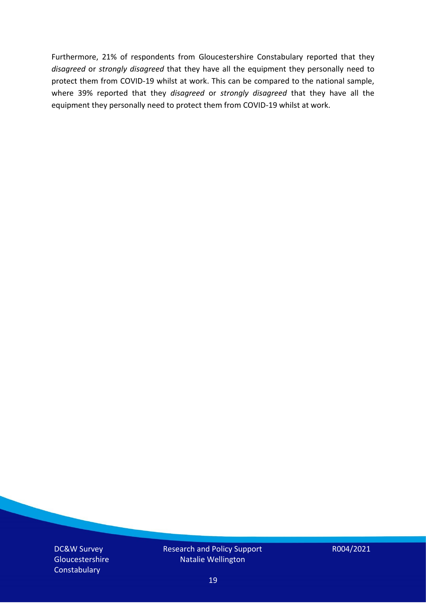Furthermore, 21% of respondents from Gloucestershire Constabulary reported that they *disagreed* or *strongly disagreed* that they have all the equipment they personally need to protect them from COVID-19 whilst at work. This can be compared to the national sample, where 39% reported that they *disagreed* or *strongly disagreed* that they have all the equipment they personally need to protect them from COVID-19 whilst at work.

DC&W Survey Gloucestershire **Constabulary** 

Research and Policy Support Natalie Wellington